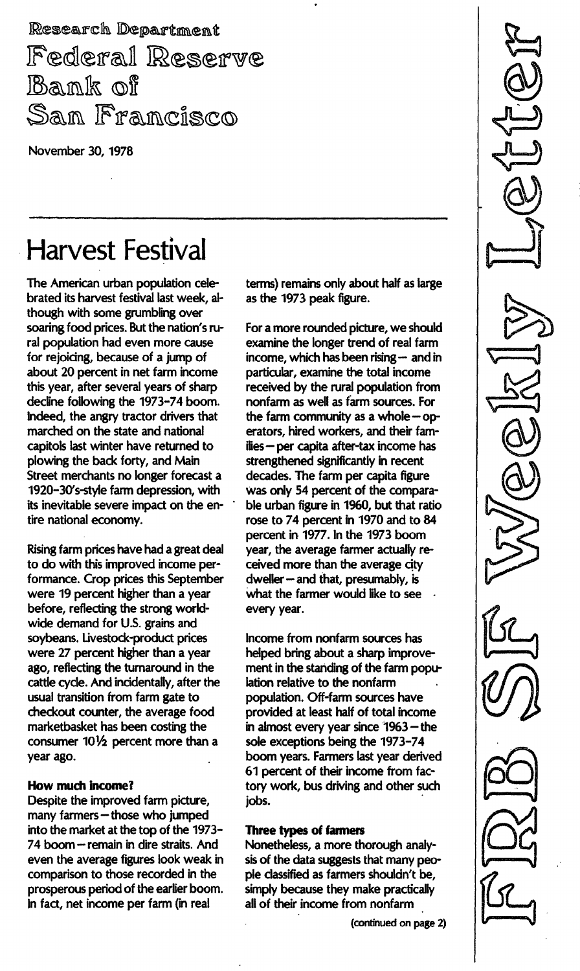Research Department Federal Reserve Bank of San Francisco

November 30, 1978

# Harvest Festival

The American urban population celebrated its harvest festival last week, although with some grumbling over soaring food prices. But the nation's rural population had even more cause for rejoicing, because of a jump of about 20 percent in net farm income this year, after several years of sharp decline following the 1973-74 boom. Indeed, the angry tractor drivers that marched on the state and national capitols last winter have returned to plowing the back forty, and Main Street merchants no longer forecast a 1920-30's-style farm depression, with its inevitable severe impact on the entire national economy.

Rising farm prices have had a great deal to do with this improved income performance. Crop prices this September were 19 percent higher than a year before, reflecting the strong worldwide demand for U.S. grains and soybeans. Livestock-product prices were 27 percent higher than a year ago, reflecting the turnaround in the cattle cycle. And incidentally, after the usual transition from farm gate to checkout counter, the average food marketbasket has been costing the consumer  $10\frac{1}{2}$  percent more than a year ago.

### How much income?

Despite the improved farm picture, many farmers - those who jumped into the market at the top of the 1973-74 boom - remain in dire straits. And even the average figures look weak in comparison to those recorded in the prosperous period of the earlier boom. In fact, net income per farm (in real

terms) remains only about half as large as the 1973 peak figure.

For a more rounded picture, we should examine the longer trend of real farm income, which has been rising  $-$  and in particular, examine the total income received by the rural population from nonfarm as well as farm sources. For the farm community as a whole  $-$  operators, hired workers, and their families - per capita after-tax income has strengthened significantly in recent decades. The farm per capita figure was only 54 percent of the comparable urban figure in 1960, but that ratio rose to 74 percent in 1970 and to 84 percent in 1977. In the 1973 boom year, the average farmer actually received more than the average city dweller - and that, presumably, is what the farmer would like to see every year.

Income from nonfarm sources has helped bring about a sharp improvement in the standing of the farm population relative to the nonfarm population. Off-farm sources have provided at least half of total income in almost every year since 1963 - the sole exceptions being the 1973-74 boom years. Farmers last year derived 61 percent of their income from factory work, bus driving and other such jobs.

### Three types of farmers

Nonetheless, a more thorough analysis of the data suggests that many people classified as farmers shouldn't be, simply because they make practically all of their income from nonfarm

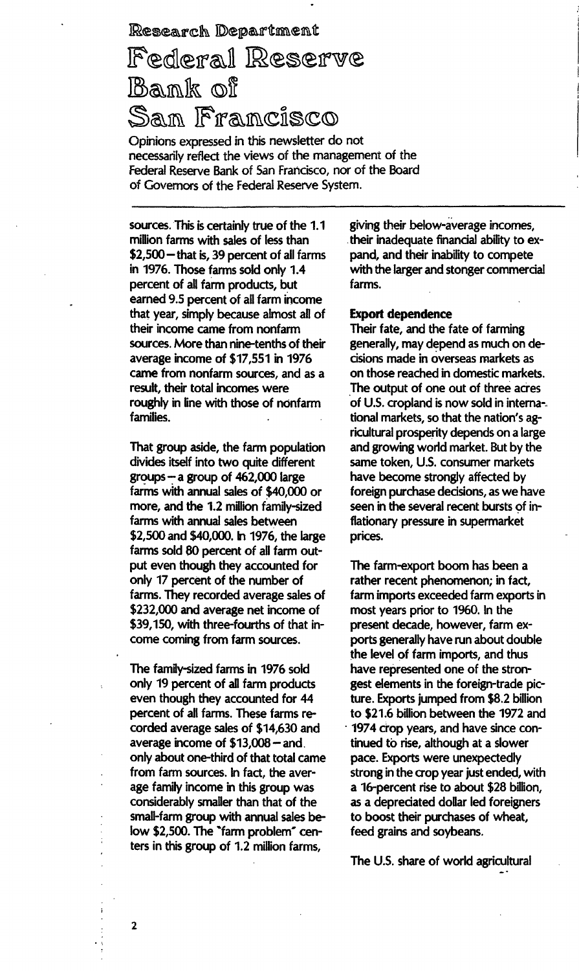## Research Department

# Federal Reserve Bank of San Francisco

Opinions expressed in this newsletter do not necessarily reflect the views of the management of the Federal Reserve Bank of San Francisco, nor of the Board of Governors of the Federal Reserve System.

sources. This is certainly true of the 1.1 million farms with sales of less than  $$2,500$  - that is, 39 percent of all farms in 1976. Those farms sold only 1.4 percent of all farm products, but earned 9.5 percent of all farm income that year, simply because almost all of their income came from nonfarm sources. More than nine-tenths of their average income of \$17,551 in 1976 came from nonfarm sources, and as a result, their total incomes were roughly in line with those of nonfarm families.

That group aside, the farm population divides itself into two quite different  $groups - a group of 462,000 large$ farms with annual sales of \$40,000 or more, and the 1.2 million family-sized farms with annual sales between \$2,500 and \$40,000. In 1976, the large farms sold 80 percent of all farm output even though they accounted for only 17 percent of the number of farms. They recorded average sales of \$232,000 and average net income of \$39,150, with three-fourths of that income coming from farm sources.

The family-sized farms in 1976 sold only 19 percent of all farm products even though they accounted for 44 percent of all farms. These farms recorded average sales of \$14,630 and average income of  $$13,008 -$  and. only about one-third of that total came from farm sources. In fact, the average family income in this group was considerably smaller than that of the small-farm group with annual sales below \$2,500. The "farm problem" centers in this group of 1.2 million farms,

giving their below-average incomes, their inadequate financial ability to expand, and their inability to compete with the larger and stonger commercial farms.

### Export dependence

Their fate, and the fate of farming generally, may depend as much on decisions made in overseas markets as on those reached in domestic markets. The output of one out of three acres of U.S. cropland is now sold in interna-. tional markets, so that the nation's agricultural prosperity depends on a large and growing world market. But by the same token, U.S. consumer markets have become strongly affected by foreign purchase decisions, as we have seen in the several recent bursts of inflationary pressure in supermarket prices.

The farm-export boom has been a rather recent phenomenon; in fact, farm imports exceeded farm exports in most years prior to 1960. In the present decade, however, farm exports generally have run about double the level of farm imports, and thus have represented one of the strongest elements in the foreign-trade picture. Exports jumped from \$8.2 billion to \$21.6 billion between the 1972 and 1974 crop years, and have since continued to rise, although at a slower pace. Exports were unexpectedly strong in the crop year just ended, with a 16-percent rise to about \$28 billion, as a depreciated dollar led foreigners to boost their purchases of wheat, feed grains and soybeans.

The U.S. share of world agricultural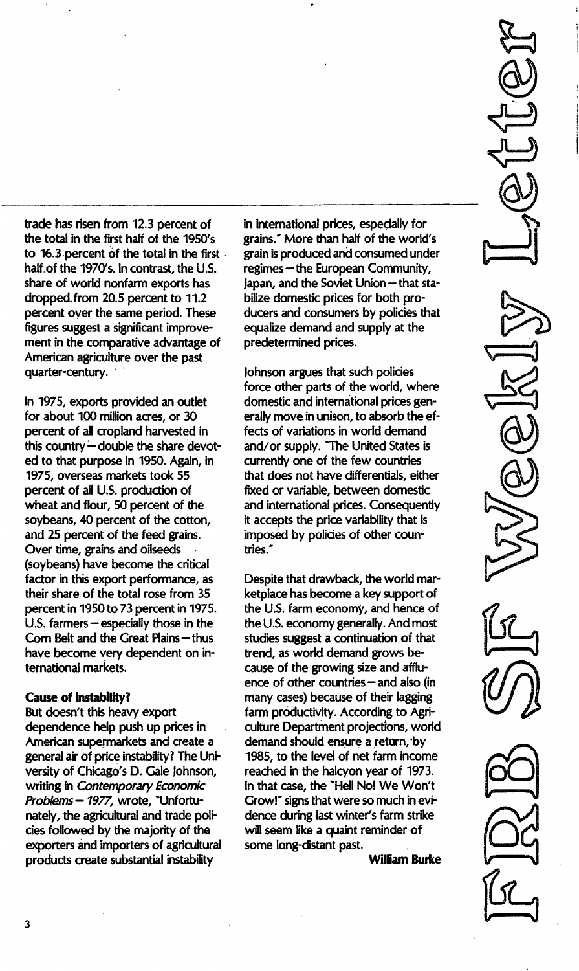trade has risen from 12.3 percent of the total in the first half of the 1950's to 16.3 percent of the total in the first half of the 1970's. In contrast, the U.S. share of world nonfarm exports has dropped. from 20.5 percent to 11.2 percent over the same period. These figures suggest a significant improvement in the comparative advantage of American agriculture over the past quarter-century.

In 1975, exports provided an outlet for about 100 million acres, or 30 percent of all cropland harvested in this country - double the share devoted to that purpose in 1950. Again, in 1975, overseas markets took 55 percent of all U.S. production of wheat and flour, 50 percent of the soybeans, 40 percent of the cotton, and 25 percent of the feed grains. Over time, grains and oilseeds (soybeans) have become the critical factor in this export performance, as their share of the total rose from 35 percent in 1950 to 73 percent in 1975. U.S. farmers  $-$  especially those in the Corn Belt and the Great Plains - thus have become very dependent on international markets.

### Cause of instability?

But doesn't this heavy export dependence help push up prices in American supermarkets and create a general air of price instability? The University of Chicago's D. Gale Johnson, writing in Contemporary Economic Problems - 1977, wrote, "Unfortunately, the agricultural and trade policies followed by the majority of the exporters and importers of agricultural products create substantial instability

in international prices, especially for grains." More than half of the world's grain is produced and consumed under regimes - the European Community, Japan, and the Soviet Union - that stabilize domestic prices for both producers and consumers by policies that equalize demand and supply at the predetermined prices.

Johnson argues that such policies force other parts of the world, where domestic and international prices generally move in unison, to absorb the effects of variations in world demand and/or supply. "The United States is currently one of the few countries that does not have differentials, either fixed or variable, between domestic and international prices. Consequently it accepts the price variability that is imposed by policies of other countries."

Despite that drawback, the world marketplace has become a key support of the U.S. farm economy, and hence of the U.s. economy generally. And most studies suggest a continuation of that trend, as world demand grows because of the growing size and affluence of other countries  $-$  and also (in many cases) because of their lagging farm productivity. According to Agriculture Department projections, world demand should ensure a return, 'by 1985, to the level of net farm income reached in the halcyon year of 1973. In that case, the "Hell No! We Won't Grow!" signs that were so much in evidence during last winter's farm strike will seem like a quaint reminder of some long-distant past.

William Burke